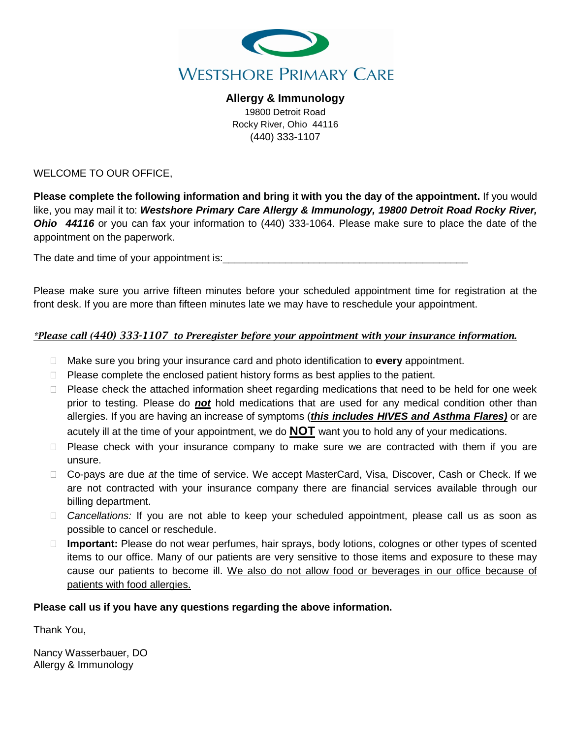

**Allergy & Immunology** 19800 Detroit Road Rocky River, Ohio 44116 (440) 333-1107

WELCOME TO OUR OFFICE,

**Please complete the following information and bring it with you the day of the appointment.** If you would like, you may mail it to: *Westshore Primary Care Allergy & Immunology, 19800 Detroit Road Rocky River, Ohio 44116* or you can fax your information to (440) 333-1064. Please make sure to place the date of the appointment on the paperwork.

The date and time of your appointment is:

Please make sure you arrive fifteen minutes before your scheduled appointment time for registration at the front desk. If you are more than fifteen minutes late we may have to reschedule your appointment.

### *\*Please call (440) 333-1107 to Preregister before your appointment with your insurance information.*

- Make sure you bring your insurance card and photo identification to **every** appointment.
- $\Box$  Please complete the enclosed patient history forms as best applies to the patient.
- $\Box$  Please check the attached information sheet regarding medications that need to be held for one week prior to testing. Please do *not* hold medications that are used for any medical condition other than allergies. If you are having an increase of symptoms (*this includes HIVES and Asthma Flares)* or are acutely ill at the time of your appointment, we do **NOT** want you to hold any of your medications.
- $\Box$  Please check with your insurance company to make sure we are contracted with them if you are unsure.
- Co-pays are due *at* the time of service. We accept MasterCard, Visa, Discover, Cash or Check. If we are not contracted with your insurance company there are financial services available through our billing department.
- *Cancellations:* If you are not able to keep your scheduled appointment, please call us as soon as possible to cancel or reschedule.
- **Important:** Please do not wear perfumes, hair sprays, body lotions, colognes or other types of scented items to our office. Many of our patients are very sensitive to those items and exposure to these may cause our patients to become ill. We also do not allow food or beverages in our office because of patients with food allergies.

### **Please call us if you have any questions regarding the above information.**

Thank You,

Nancy Wasserbauer, DO Allergy & Immunology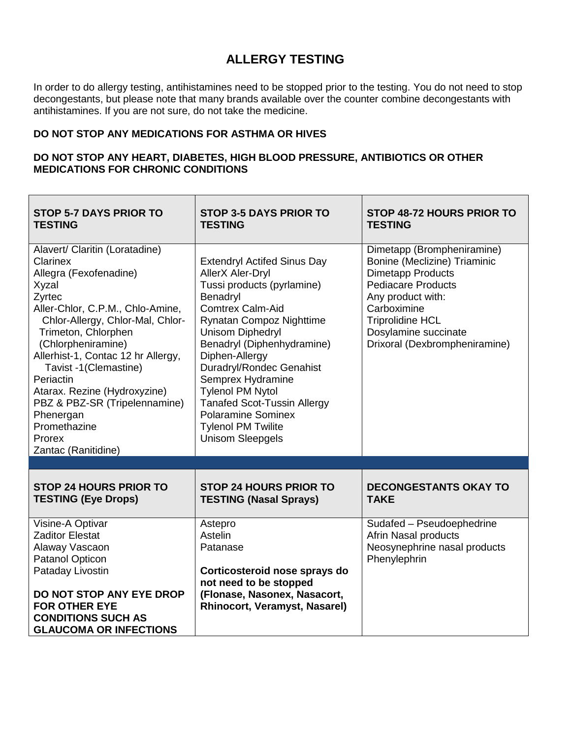# **ALLERGY TESTING**

In order to do allergy testing, antihistamines need to be stopped prior to the testing. You do not need to stop decongestants, but please note that many brands available over the counter combine decongestants with antihistamines. If you are not sure, do not take the medicine.

## **DO NOT STOP ANY MEDICATIONS FOR ASTHMA OR HIVES**

## **DO NOT STOP ANY HEART, DIABETES, HIGH BLOOD PRESSURE, ANTIBIOTICS OR OTHER MEDICATIONS FOR CHRONIC CONDITIONS**

| <b>STOP 5-7 DAYS PRIOR TO</b><br><b>TESTING</b>                                                                                                                                                                                                                                                                                                                                                                         | <b>STOP 3-5 DAYS PRIOR TO</b><br><b>TESTING</b>                                                                                                                                                                                                                                                                                                                                                                                                         | STOP 48-72 HOURS PRIOR TO<br><b>TESTING</b>                                                                                                                                                                                                 |
|-------------------------------------------------------------------------------------------------------------------------------------------------------------------------------------------------------------------------------------------------------------------------------------------------------------------------------------------------------------------------------------------------------------------------|---------------------------------------------------------------------------------------------------------------------------------------------------------------------------------------------------------------------------------------------------------------------------------------------------------------------------------------------------------------------------------------------------------------------------------------------------------|---------------------------------------------------------------------------------------------------------------------------------------------------------------------------------------------------------------------------------------------|
| Alavert/ Claritin (Loratadine)<br>Clarinex<br>Allegra (Fexofenadine)<br>Xyzal<br>Zyrtec<br>Aller-Chlor, C.P.M., Chlo-Amine,<br>Chlor-Allergy, Chlor-Mal, Chlor-<br>Trimeton, Chlorphen<br>(Chlorpheniramine)<br>Allerhist-1, Contac 12 hr Allergy,<br>Tavist -1(Clemastine)<br>Periactin<br>Atarax. Rezine (Hydroxyzine)<br>PBZ & PBZ-SR (Tripelennamine)<br>Phenergan<br>Promethazine<br>Prorex<br>Zantac (Ranitidine) | <b>Extendryl Actifed Sinus Day</b><br><b>AllerX Aler-Dryl</b><br>Tussi products (pyrlamine)<br>Benadryl<br><b>Comtrex Calm-Aid</b><br>Rynatan Compoz Nighttime<br><b>Unisom Diphedryl</b><br>Benadryl (Diphenhydramine)<br>Diphen-Allergy<br><b>Duradryl/Rondec Genahist</b><br>Semprex Hydramine<br><b>Tylenol PM Nytol</b><br><b>Tanafed Scot-Tussin Allergy</b><br><b>Polaramine Sominex</b><br><b>Tylenol PM Twilite</b><br><b>Unisom Sleepgels</b> | Dimetapp (Brompheniramine)<br>Bonine (Meclizine) Triaminic<br><b>Dimetapp Products</b><br><b>Pediacare Products</b><br>Any product with:<br>Carboximine<br><b>Triprolidine HCL</b><br>Dosylamine succinate<br>Drixoral (Dexbrompheniramine) |
|                                                                                                                                                                                                                                                                                                                                                                                                                         |                                                                                                                                                                                                                                                                                                                                                                                                                                                         |                                                                                                                                                                                                                                             |
| <b>STOP 24 HOURS PRIOR TO</b><br><b>TESTING (Eye Drops)</b>                                                                                                                                                                                                                                                                                                                                                             | <b>STOP 24 HOURS PRIOR TO</b><br><b>TESTING (Nasal Sprays)</b>                                                                                                                                                                                                                                                                                                                                                                                          | <b>DECONGESTANTS OKAY TO</b><br><b>TAKE</b>                                                                                                                                                                                                 |
| Visine-A Optivar<br><b>Zaditor Elestat</b><br>Alaway Vascaon<br>Patanol Opticon<br>Pataday Livostin<br>DO NOT STOP ANY EYE DROP<br><b>FOR OTHER EYE</b><br><b>CONDITIONS SUCH AS</b><br><b>GLAUCOMA OR INFECTIONS</b>                                                                                                                                                                                                   | Astepro<br>Astelin<br>Patanase<br>Corticosteroid nose sprays do<br>not need to be stopped<br>(Flonase, Nasonex, Nasacort,<br>Rhinocort, Veramyst, Nasarel)                                                                                                                                                                                                                                                                                              | Sudafed - Pseudoephedrine<br>Afrin Nasal products<br>Neosynephrine nasal products<br>Phenylephrin                                                                                                                                           |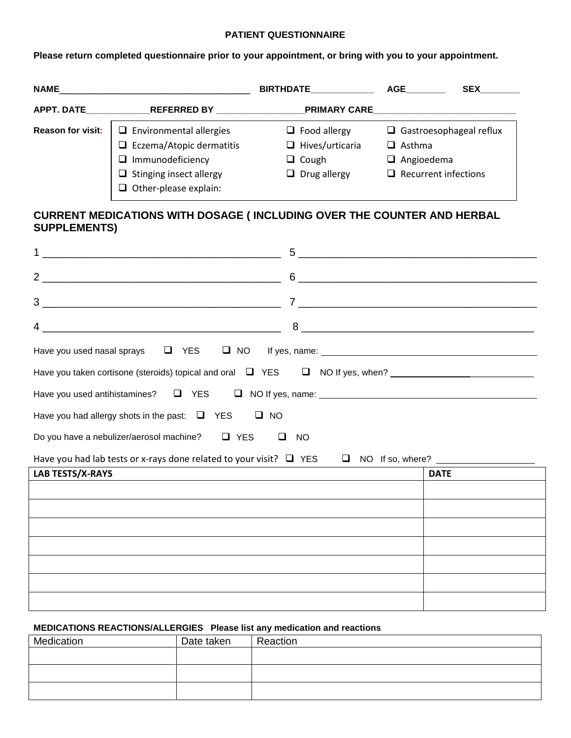#### **PATIENT QUESTIONNAIRE**

**Please return completed questionnaire prior to your appointment, or bring with you to your appointment.**

| <b>NAME</b>              |                                                                                                                                                                | <b>BIRTHDATE</b>                                                                     | AGE                                | <b>SEX</b>                                                    |
|--------------------------|----------------------------------------------------------------------------------------------------------------------------------------------------------------|--------------------------------------------------------------------------------------|------------------------------------|---------------------------------------------------------------|
| APPT. DATE               | REFERRED BY                                                                                                                                                    | <b>PRIMARY CARE</b>                                                                  |                                    |                                                               |
| <b>Reason for visit:</b> | $\Box$ Environmental allergies<br>$\Box$ Eczema/Atopic dermatitis<br>$\Box$ Immunodeficiency<br>$\Box$ Stinging insect allergy<br>$\Box$ Other-please explain: | $\Box$ Food allergy<br>$\Box$ Hives/urticaria<br>$\Box$ Cough<br>$\Box$ Drug allergy | $\Box$ Asthma<br>$\Box$ Angioedema | $\Box$ Gastroesophageal reflux<br>$\Box$ Recurrent infections |

# **CURRENT MEDICATIONS WITH DOSAGE ( INCLUDING OVER THE COUNTER AND HERBAL SUPPLEMENTS)**

| <u> 2000 - 2000 - 2000 - 2000 - 2000 - 2000 - 2000 - 2000 - 2000 - 2000 - 2000 - 2000 - 2000 - 2000 - 2000 - 200</u> | 5<br><u> 1989 - Johann Stein, september 1989 - Amerikaansk politiker (d. 1989)</u> |
|----------------------------------------------------------------------------------------------------------------------|------------------------------------------------------------------------------------|
|                                                                                                                      |                                                                                    |
| 3                                                                                                                    | $\begin{array}{c} \mathbf{7} \qquad \qquad \\ \hline \end{array}$                  |
|                                                                                                                      | 8                                                                                  |
|                                                                                                                      |                                                                                    |
| Have you taken cortisone (steroids) topical and oral $\Box$ YES $\Box$ NO If yes, when?                              |                                                                                    |
| Have you used antihistamines? $\Box$ YES $\Box$ NO If yes, name: $\Box$                                              |                                                                                    |
| Have you had allergy shots in the past: $\Box$ YES $\Box$ NO                                                         |                                                                                    |
| Do you have a nebulizer/aerosol machine? $\Box$ YES<br>□                                                             | NO                                                                                 |
|                                                                                                                      |                                                                                    |
| LAB TESTS/X-RAYS                                                                                                     | <b>DATE</b>                                                                        |
|                                                                                                                      |                                                                                    |
|                                                                                                                      |                                                                                    |

 $\overline{\phantom{a}}$ 

### **MEDICATIONS REACTIONS/ALLERGIES Please list any medication and reactions**

| Medication | Date taken | Reaction |
|------------|------------|----------|
|            |            |          |
|            |            |          |
|            |            |          |
|            |            |          |
|            |            |          |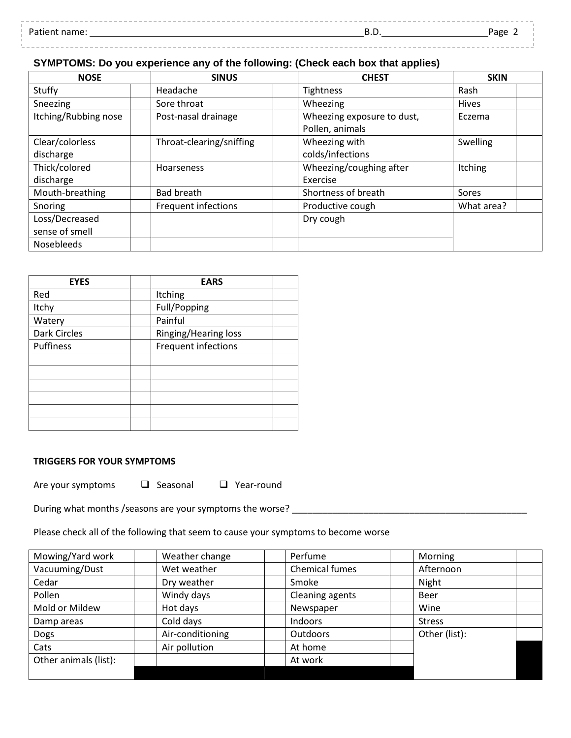| Patiem .<br>name: | <br><br>レ・レ | Page<br>ີິ |
|-------------------|-------------|------------|
|                   |             |            |

# **SYMPTOMS: Do you experience any of the following: (Check each box that applies)**

| <b>NOSE</b>                      | <b>SINUS</b>             | <b>CHEST</b>                                  | <b>SKIN</b>    |
|----------------------------------|--------------------------|-----------------------------------------------|----------------|
| Stuffy                           | Headache                 | Tightness                                     | Rash           |
| Sneezing                         | Sore throat              | Wheezing                                      | <b>Hives</b>   |
| Itching/Rubbing nose             | Post-nasal drainage      | Wheezing exposure to dust,<br>Pollen, animals | Eczema         |
| Clear/colorless<br>discharge     | Throat-clearing/sniffing | Wheezing with<br>colds/infections             | Swelling       |
| Thick/colored<br>discharge       | Hoarseness               | Wheezing/coughing after<br>Exercise           | <b>Itching</b> |
| Mouth-breathing                  | <b>Bad breath</b>        | Shortness of breath                           | Sores          |
| Snoring                          | Frequent infections      | Productive cough                              | What area?     |
| Loss/Decreased<br>sense of smell |                          | Dry cough                                     |                |
| Nosebleeds                       |                          |                                               |                |

| <b>EYES</b>  | <b>EARS</b>          |  |
|--------------|----------------------|--|
| Red          | Itching              |  |
| Itchy        | Full/Popping         |  |
| Watery       | Painful              |  |
| Dark Circles | Ringing/Hearing loss |  |
| Puffiness    | Frequent infections  |  |
|              |                      |  |
|              |                      |  |
|              |                      |  |
|              |                      |  |
|              |                      |  |
|              |                      |  |

### **TRIGGERS FOR YOUR SYMPTOMS**

Are your symptoms  $\Box$  Seasonal  $\Box$  Year-round

During what months /seasons are your symptoms the worse? \_\_\_\_\_\_\_\_\_\_\_\_\_\_\_\_\_\_\_\_\_\_\_\_

## Please check all of the following that seem to cause your symptoms to become worse

| Mowing/Yard work      | Weather change   | Perfume         | Morning       |
|-----------------------|------------------|-----------------|---------------|
| Vacuuming/Dust        | Wet weather      | Chemical fumes  | Afternoon     |
| Cedar                 | Dry weather      | Smoke           | Night         |
| Pollen                | Windy days       | Cleaning agents | Beer          |
| Mold or Mildew        | Hot days         | Newspaper       | Wine          |
| Damp areas            | Cold days        | Indoors         | <b>Stress</b> |
| Dogs                  | Air-conditioning | <b>Outdoors</b> | Other (list): |
| Cats                  | Air pollution    | At home         |               |
| Other animals (list): |                  | At work         |               |
|                       |                  |                 |               |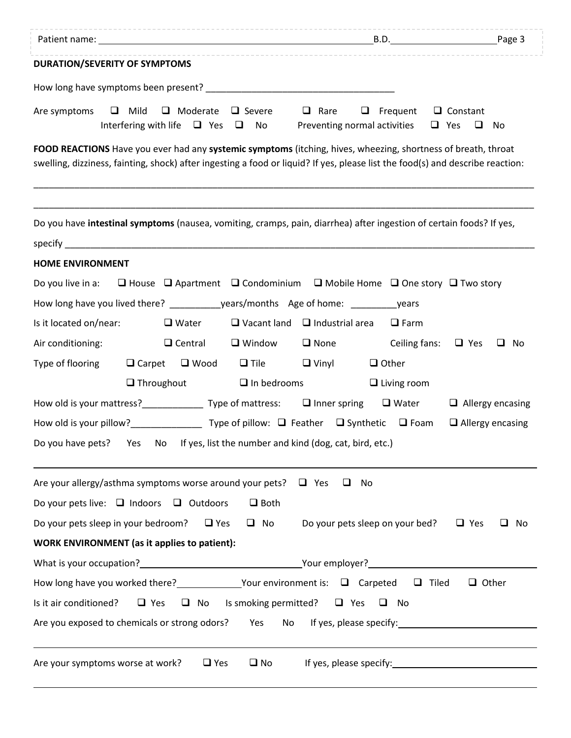| <b>DURATION/SEVERITY OF SYMPTOMS</b>                                                                                                                                                                                                            |                                                                                                                                                                                                                                |                         |
|-------------------------------------------------------------------------------------------------------------------------------------------------------------------------------------------------------------------------------------------------|--------------------------------------------------------------------------------------------------------------------------------------------------------------------------------------------------------------------------------|-------------------------|
|                                                                                                                                                                                                                                                 |                                                                                                                                                                                                                                |                         |
| Are symptoms $\Box$ Mild $\Box$ Moderate $\Box$ Severe                                                                                                                                                                                          | $\Box$ Frequent $\Box$ Constant<br>$\Box$ Rare<br>Interfering with life $\Box$ Yes $\Box$ No Preventing normal activities $\Box$ Yes $\Box$ No                                                                                 |                         |
| FOOD REACTIONS Have you ever had any systemic symptoms (itching, hives, wheezing, shortness of breath, throat<br>swelling, dizziness, fainting, shock) after ingesting a food or liquid? If yes, please list the food(s) and describe reaction: |                                                                                                                                                                                                                                |                         |
| Do you have intestinal symptoms (nausea, vomiting, cramps, pain, diarrhea) after ingestion of certain foods? If yes,<br>specify <b>Specify Specify Specify Specify Specify</b>                                                                  |                                                                                                                                                                                                                                |                         |
| <b>HOME ENVIRONMENT</b>                                                                                                                                                                                                                         |                                                                                                                                                                                                                                |                         |
| Do you live in a: $\Box$ House $\Box$ Apartment $\Box$ Condominium $\Box$ Mobile Home $\Box$ One story $\Box$ Two story                                                                                                                         |                                                                                                                                                                                                                                |                         |
| How long have you lived there? ________________years/months Age of home: __________________years                                                                                                                                                |                                                                                                                                                                                                                                |                         |
| Is it located on/near:<br>$\Box$ Water                                                                                                                                                                                                          | $\Box$ Vacant land $\Box$ Industrial area $\Box$ Farm                                                                                                                                                                          |                         |
| $\Box$ Window<br>Air conditioning:<br>$\Box$ Central                                                                                                                                                                                            | $\Box$ None<br>Ceiling fans:                                                                                                                                                                                                   | $\Box$ Yes $\Box$ No    |
| Type of flooring<br>$\Box$ Carpet $\Box$ Wood $\Box$ Tile $\Box$ Vinyl                                                                                                                                                                          | $\Box$ Other                                                                                                                                                                                                                   |                         |
| $\Box$ Throughout<br>$\Box$ In bedrooms                                                                                                                                                                                                         | $\Box$ Living room                                                                                                                                                                                                             |                         |
| How old is your mattress?__________________Type of mattress: $\Box$ Inner spring $\Box$ Water                                                                                                                                                   |                                                                                                                                                                                                                                | $\Box$ Allergy encasing |
|                                                                                                                                                                                                                                                 |                                                                                                                                                                                                                                | $\Box$ Allergy encasing |
| Do you have pets? Yes No If yes, list the number and kind (dog, cat, bird, etc.)                                                                                                                                                                |                                                                                                                                                                                                                                |                         |
| Are your allergy/asthma symptoms worse around your pets? $\Box$ Yes                                                                                                                                                                             | □<br>No                                                                                                                                                                                                                        |                         |
| $\Box$ Both<br>Do your pets live: $\Box$ Indoors $\Box$ Outdoors                                                                                                                                                                                |                                                                                                                                                                                                                                |                         |
| Do your pets sleep in your bedroom? $\Box$ Yes                                                                                                                                                                                                  | $\Box$ No Do your pets sleep on your bed? $\Box$ Yes                                                                                                                                                                           | $\Box$ No               |
| <b>WORK ENVIRONMENT</b> (as it applies to patient):                                                                                                                                                                                             |                                                                                                                                                                                                                                |                         |
|                                                                                                                                                                                                                                                 |                                                                                                                                                                                                                                |                         |
| How long have you worked there? ______________Your environment is: $\Box$ Carpeted $\Box$ Tiled                                                                                                                                                 |                                                                                                                                                                                                                                | $\Box$ Other            |
| $\Box$ No Is smoking permitted? $\Box$ Yes<br>Is it air conditioned?<br>$\Box$ Yes                                                                                                                                                              | $\Box$ No                                                                                                                                                                                                                      |                         |
| Are you exposed to chemicals or strong odors?<br>Yes                                                                                                                                                                                            | No If yes, please specify: 150 million of the set of the set of the set of the set of the set of the set of the set of the set of the set of the set of the set of the set of the set of the set of the set of the set of the  |                         |
| Are your symptoms worse at work?<br>$\Box$ No<br>$\Box$ Yes                                                                                                                                                                                     | If yes, please specify: The manufacturer of the set of the set of the set of the set of the set of the set of the set of the set of the set of the set of the set of the set of the set of the set of the set of the set of th |                         |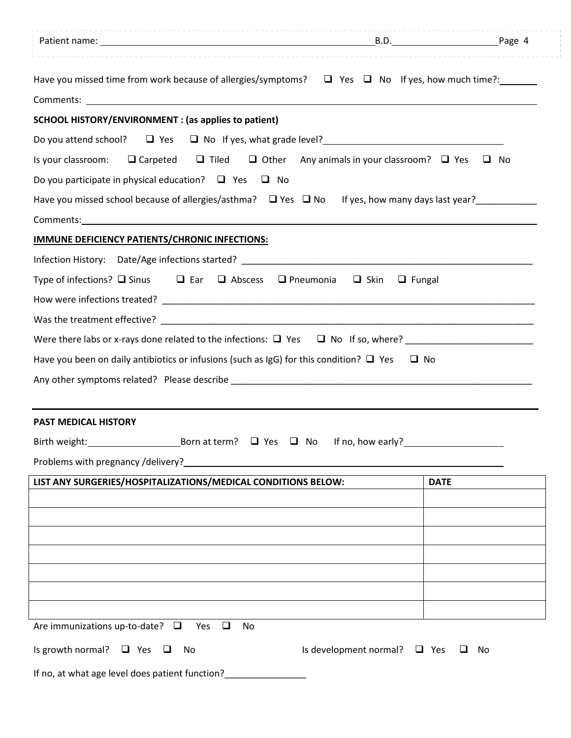| Patient name: Page 4                                                                                                                                                                                                             |                                   |             |
|----------------------------------------------------------------------------------------------------------------------------------------------------------------------------------------------------------------------------------|-----------------------------------|-------------|
| Have you missed time from work because of allergies/symptoms? $\Box$ Yes $\Box$ No If yes, how much time?: _______                                                                                                               |                                   |             |
|                                                                                                                                                                                                                                  |                                   |             |
| <b>SCHOOL HISTORY/ENVIRONMENT : (as applies to patient)</b>                                                                                                                                                                      |                                   |             |
|                                                                                                                                                                                                                                  |                                   |             |
| Is your classroom: $\Box$ Carpeted $\Box$ Tiled $\Box$ Other Any animals in your classroom? $\Box$ Yes $\Box$ No                                                                                                                 |                                   |             |
| Do you participate in physical education? $\Box$ Yes $\Box$ No                                                                                                                                                                   |                                   |             |
| Have you missed school because of allergies/asthma?<br><u>U</u> Yes $\Box$ No If yes, how many days last year?<br><u>U Yes <math>\Box</math></u> No If yes, how many days last year?                                             |                                   |             |
| Comments: and the comments of the comments of the comments of the comments of the comments of the comments of the comments of the comments of the comments of the comments of the comments of the comments of the comments of    |                                   |             |
| IMMUNE DEFICIENCY PATIENTS/CHRONIC INFECTIONS:                                                                                                                                                                                   |                                   |             |
|                                                                                                                                                                                                                                  |                                   |             |
| Type of infections? $\square$ Sinus $\square$ Ear $\square$ Abscess $\square$ Pneumonia                                                                                                                                          | $\Box$ Skin<br>$\Box$ Fungal      |             |
|                                                                                                                                                                                                                                  |                                   |             |
|                                                                                                                                                                                                                                  |                                   |             |
|                                                                                                                                                                                                                                  |                                   |             |
| Have you been on daily antibiotics or infusions (such as IgG) for this condition? $\square$ Yes $\square$ No                                                                                                                     |                                   |             |
|                                                                                                                                                                                                                                  |                                   |             |
|                                                                                                                                                                                                                                  |                                   |             |
| <b>PAST MEDICAL HISTORY</b>                                                                                                                                                                                                      |                                   |             |
|                                                                                                                                                                                                                                  |                                   |             |
| Problems with pregnancy /delivery?<br>The manufacturer of the contract of the contract of the contract of the contract of the contract of the contract of the contract of the contract of the contract of the contract of the co |                                   |             |
| LIST ANY SURGERIES/HOSPITALIZATIONS/MEDICAL CONDITIONS BELOW:                                                                                                                                                                    |                                   | <b>DATE</b> |
|                                                                                                                                                                                                                                  |                                   |             |
|                                                                                                                                                                                                                                  |                                   |             |
|                                                                                                                                                                                                                                  |                                   |             |
|                                                                                                                                                                                                                                  |                                   |             |
|                                                                                                                                                                                                                                  |                                   |             |
|                                                                                                                                                                                                                                  |                                   |             |
|                                                                                                                                                                                                                                  |                                   |             |
| Are immunizations up-to-date? $\square$<br>Yes<br>$\Box$<br>No                                                                                                                                                                   |                                   |             |
| Is growth normal? $\Box$ Yes $\Box$<br>No                                                                                                                                                                                        | Is development normal? $\Box$ Yes | □<br>No     |
|                                                                                                                                                                                                                                  |                                   |             |